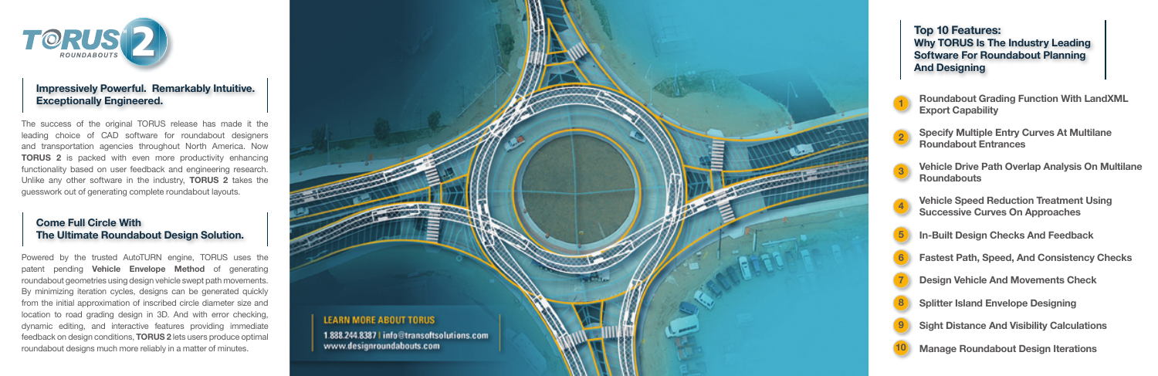## **Impressively Powerful. Remarkably Intuitive. Exceptionally Engineered.**

## **Come Full Circle With The Ultimate Roundabout Design Solution.**

**Top 10 Features: Why TORUS Is The Industry Leading Software For Roundabout Planning And Designing**



The success of the original TORUS release has made it the leading choice of CAD software for roundabout designers and transportation agencies throughout North America. Now **TORUS 2** is packed with even more productivity enhancing functionality based on user feedback and engineering research. Unlike any other software in the industry, **TORUS 2** takes the guesswork out of generating complete roundabout layouts.

Powered by the trusted AutoTURN engine, TORUS uses the patent pending **Vehicle Envelope Method** of generating roundabout geometries using design vehicle swept path movements. By minimizing iteration cycles, designs can be generated quickly from the initial approximation of inscribed circle diameter size and location to road grading design in 3D. And with error checking, dynamic editing, and interactive features providing immediate feedback on design conditions, **TORUS 2** lets users produce optimal roundabout designs much more reliably in a matter of minutes.



 **Roundabout Grading Function With LandXML Export Capability**

**Specify Multiple Entry Curves At Multilane Roundabout Entrances**



**Vehicle Drive Path Overlap Analysis On Multilane Roundabouts**



**Vehicle Speed Reduction Treatment Using Successive Curves On Approaches**



**In-Built Design Checks And Feedback** 

- **Fastest Path, Speed, And Consistency Checks**
- **Design Vehicle And Movements Check**
- 
- **Splitter Island Envelope Designing**
- 
- **Sight Distance And Visibility Calculations**
- **Manage Roundabout Design Iterations**





**10**